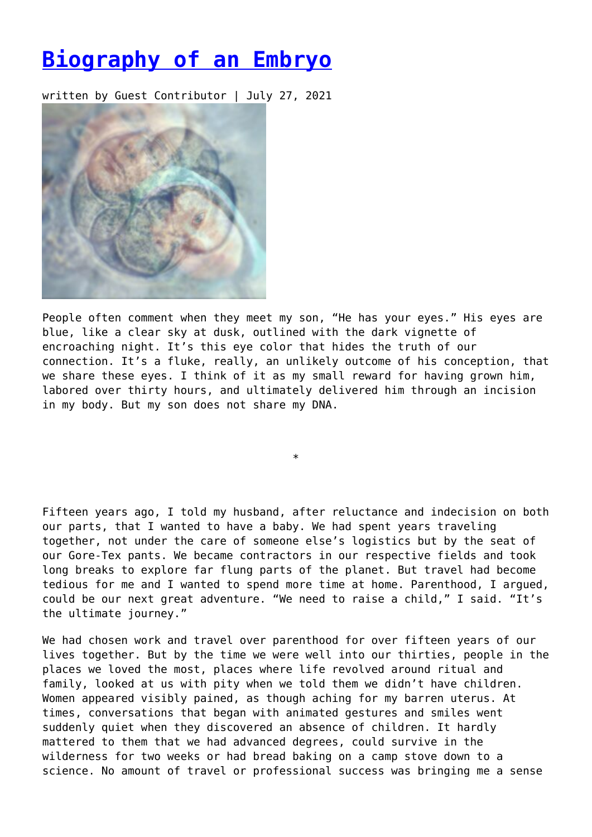## **[Biography of an Embryo](https://entropymag.org/biography-of-an-embryo/)**

written by Guest Contributor | July 27, 2021



People often comment when they meet my son, "He has your eyes." His eyes are blue, like a clear sky at dusk, outlined with the dark vignette of encroaching night. It's this eye color that hides the truth of our connection. It's a fluke, really, an unlikely outcome of his conception, that we share these eyes. I think of it as my small reward for having grown him, labored over thirty hours, and ultimately delivered him through an incision in my body. But my son does not share my DNA.

\*

Fifteen years ago, I told my husband, after reluctance and indecision on both our parts, that I wanted to have a baby. We had spent years traveling together, not under the care of someone else's logistics but by the seat of our Gore-Tex pants. We became contractors in our respective fields and took long breaks to explore far flung parts of the planet. But travel had become tedious for me and I wanted to spend more time at home. Parenthood, I argued, could be our next great adventure. "We need to raise a child," I said. "It's the ultimate journey."

We had chosen work and travel over parenthood for over fifteen years of our lives together. But by the time we were well into our thirties, people in the places we loved the most, places where life revolved around ritual and family, looked at us with pity when we told them we didn't have children. Women appeared visibly pained, as though aching for my barren uterus. At times, conversations that began with animated gestures and smiles went suddenly quiet when they discovered an absence of children. It hardly mattered to them that we had advanced degrees, could survive in the wilderness for two weeks or had bread baking on a camp stove down to a science. No amount of travel or professional success was bringing me a sense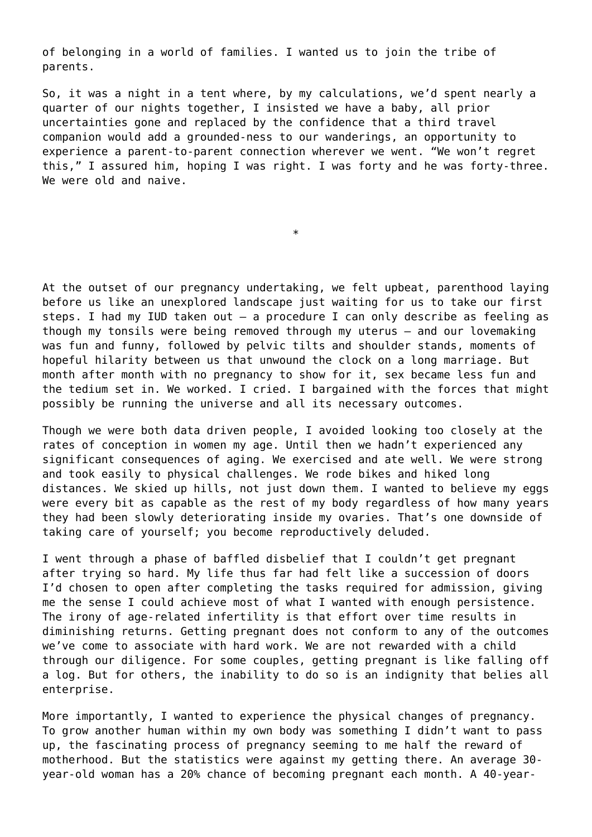of belonging in a world of families. I wanted us to join the tribe of parents.

So, it was a night in a tent where, by my calculations, we'd spent nearly a quarter of our nights together, I insisted we have a baby, all prior uncertainties gone and replaced by the confidence that a third travel companion would add a grounded-ness to our wanderings, an opportunity to experience a parent-to-parent connection wherever we went. "We won't regret this," I assured him, hoping I was right. I was forty and he was forty-three. We were old and naive.

\*

At the outset of our pregnancy undertaking, we felt upbeat, parenthood laying before us like an unexplored landscape just waiting for us to take our first steps. I had my IUD taken out – a procedure I can only describe as feeling as though my tonsils were being removed through my uterus – and our lovemaking was fun and funny, followed by pelvic tilts and shoulder stands, moments of hopeful hilarity between us that unwound the clock on a long marriage. But month after month with no pregnancy to show for it, sex became less fun and the tedium set in. We worked. I cried. I bargained with the forces that might possibly be running the universe and all its necessary outcomes.

Though we were both data driven people, I avoided looking too closely at the rates of conception in women my age. Until then we hadn't experienced any significant consequences of aging. We exercised and ate well. We were strong and took easily to physical challenges. We rode bikes and hiked long distances. We skied up hills, not just down them. I wanted to believe my eggs were every bit as capable as the rest of my body regardless of how many years they had been slowly deteriorating inside my ovaries. That's one downside of taking care of yourself; you become reproductively deluded.

I went through a phase of baffled disbelief that I couldn't get pregnant after trying so hard. My life thus far had felt like a succession of doors I'd chosen to open after completing the tasks required for admission, giving me the sense I could achieve most of what I wanted with enough persistence. The irony of age-related infertility is that effort over time results in diminishing returns. Getting pregnant does not conform to any of the outcomes we've come to associate with hard work. We are not rewarded with a child through our diligence. For some couples, getting pregnant is like falling off a log. But for others, the inability to do so is an indignity that belies all enterprise.

More importantly, I wanted to experience the physical changes of pregnancy. To grow another human within my own body was something I didn't want to pass up, the fascinating process of pregnancy seeming to me half the reward of motherhood. But the statistics were against my getting there. An average 30 year-old woman has a 20% chance of becoming pregnant each month. A 40-year-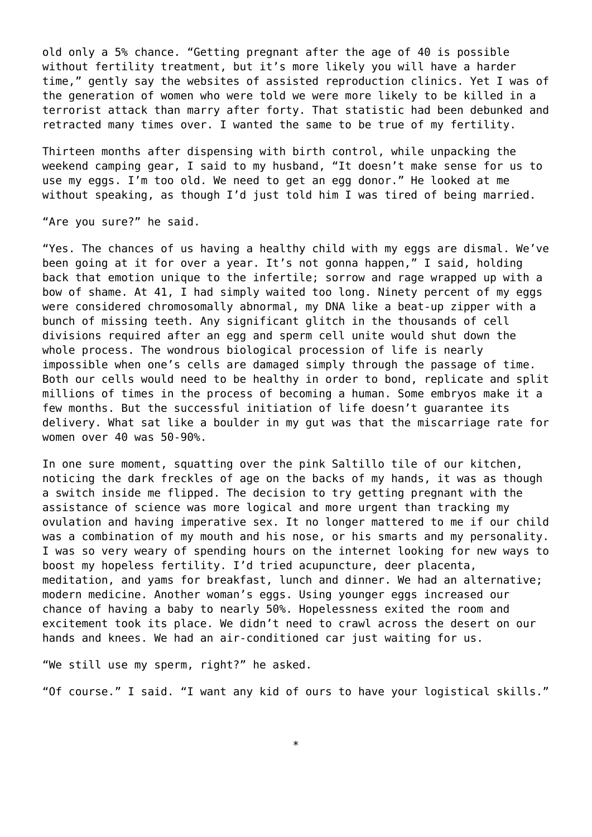old only a 5% chance. "Getting pregnant after the age of 40 is possible without fertility treatment, but it's more likely you will have a harder time," gently say the websites of assisted reproduction clinics. Yet I was of the generation of women who were told we were more likely to be killed in a terrorist attack than marry after forty. That statistic had been debunked and retracted many times over. I wanted the same to be true of my fertility.

Thirteen months after dispensing with birth control, while unpacking the weekend camping gear, I said to my husband, "It doesn't make sense for us to use my eggs. I'm too old. We need to get an egg donor." He looked at me without speaking, as though I'd just told him I was tired of being married.

"Are you sure?" he said.

"Yes. The chances of us having a healthy child with my eggs are dismal. We've been going at it for over a year. It's not gonna happen," I said, holding back that emotion unique to the infertile; sorrow and rage wrapped up with a bow of shame. At 41, I had simply waited too long. Ninety percent of my eggs were considered chromosomally abnormal, my DNA like a beat-up zipper with a bunch of missing teeth. Any significant glitch in the thousands of cell divisions required after an egg and sperm cell unite would shut down the whole process. The wondrous biological procession of life is nearly impossible when one's cells are damaged simply through the passage of time. Both our cells would need to be healthy in order to bond, replicate and split millions of times in the process of becoming a human. Some embryos make it a few months. But the successful initiation of life doesn't guarantee its delivery. What sat like a boulder in my gut was that the miscarriage rate for women over 40 was 50-90%.

In one sure moment, squatting over the pink Saltillo tile of our kitchen, noticing the dark freckles of age on the backs of my hands, it was as though a switch inside me flipped. The decision to try getting pregnant with the assistance of science was more logical and more urgent than tracking my ovulation and having imperative sex. It no longer mattered to me if our child was a combination of my mouth and his nose, or his smarts and my personality. I was so very weary of spending hours on the internet looking for new ways to boost my hopeless fertility. I'd tried acupuncture, deer placenta, meditation, and yams for breakfast, lunch and dinner. We had an alternative; modern medicine. Another woman's eggs. Using younger eggs increased our chance of having a baby to nearly 50%. Hopelessness exited the room and excitement took its place. We didn't need to crawl across the desert on our hands and knees. We had an air-conditioned car just waiting for us.

"We still use my sperm, right?" he asked.

"Of course." I said. "I want any kid of ours to have your logistical skills."

\*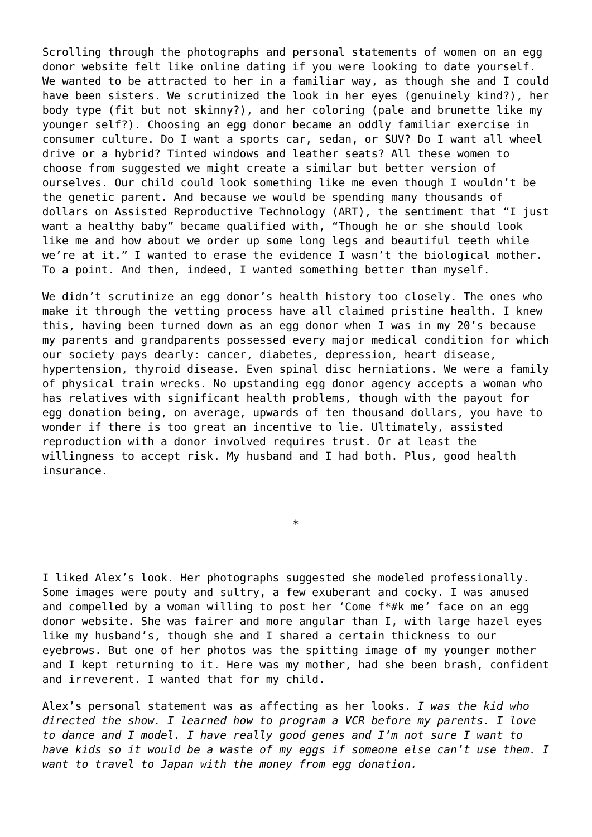Scrolling through the photographs and personal statements of women on an egg donor website felt like online dating if you were looking to date yourself. We wanted to be attracted to her in a familiar way, as though she and I could have been sisters. We scrutinized the look in her eyes (genuinely kind?), her body type (fit but not skinny?), and her coloring (pale and brunette like my younger self?). Choosing an egg donor became an oddly familiar exercise in consumer culture. Do I want a sports car, sedan, or SUV? Do I want all wheel drive or a hybrid? Tinted windows and leather seats? All these women to choose from suggested we might create a similar but better version of ourselves. Our child could look something like me even though I wouldn't be the genetic parent. And because we would be spending many thousands of dollars on Assisted Reproductive Technology (ART), the sentiment that "I just want a healthy baby" became qualified with, "Though he or she should look like me and how about we order up some long legs and beautiful teeth while we're at it." I wanted to erase the evidence I wasn't the biological mother. To a point. And then, indeed, I wanted something better than myself.

We didn't scrutinize an egg donor's health history too closely. The ones who make it through the vetting process have all claimed pristine health. I knew this, having been turned down as an egg donor when I was in my 20's because my parents and grandparents possessed every major medical condition for which our society pays dearly: cancer, diabetes, depression, heart disease, hypertension, thyroid disease. Even spinal disc herniations. We were a family of physical train wrecks. No upstanding egg donor agency accepts a woman who has relatives with significant health problems, though with the payout for egg donation being, on average, upwards of ten thousand dollars, you have to wonder if there is too great an incentive to lie. Ultimately, assisted reproduction with a donor involved requires trust. Or at least the willingness to accept risk. My husband and I had both. Plus, good health insurance.

I liked Alex's look. Her photographs suggested she modeled professionally. Some images were pouty and sultry, a few exuberant and cocky. I was amused and compelled by a woman willing to post her 'Come f\*#k me' face on an egg donor website. She was fairer and more angular than I, with large hazel eyes like my husband's, though she and I shared a certain thickness to our eyebrows. But one of her photos was the spitting image of my younger mother and I kept returning to it. Here was my mother, had she been brash, confident and irreverent. I wanted that for my child.

\*

Alex's personal statement was as affecting as her looks. *I was the kid who directed the show. I learned how to program a VCR before my parents. I love to dance and I model. I have really good genes and I'm not sure I want to have kids so it would be a waste of my eggs if someone else can't use them. I want to travel to Japan with the money from egg donation.*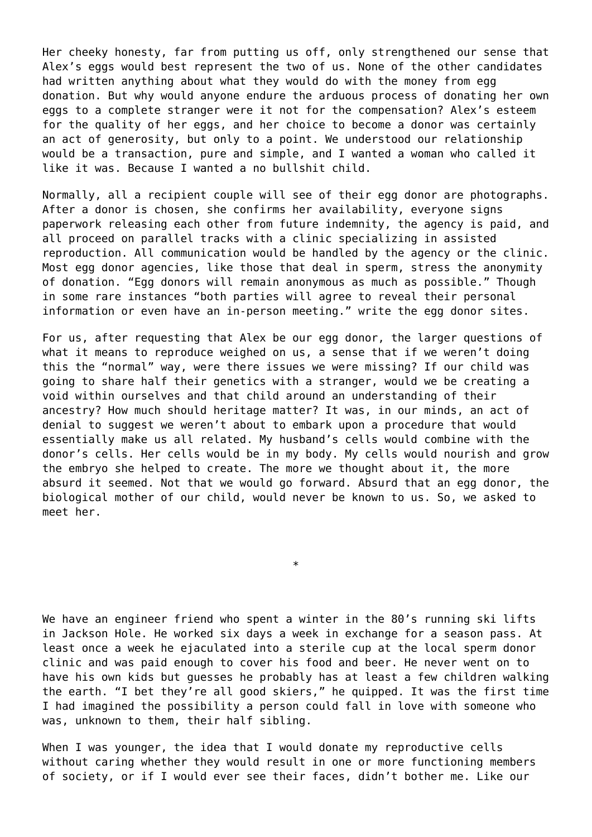Her cheeky honesty, far from putting us off, only strengthened our sense that Alex's eggs would best represent the two of us. None of the other candidates had written anything about what they would do with the money from egg donation. But why would anyone endure the arduous process of donating her own eggs to a complete stranger were it not for the compensation? Alex's esteem for the quality of her eggs, and her choice to become a donor was certainly an act of generosity, but only to a point. We understood our relationship would be a transaction, pure and simple, and I wanted a woman who called it like it was. Because I wanted a no bullshit child.

Normally, all a recipient couple will see of their egg donor are photographs. After a donor is chosen, she confirms her availability, everyone signs paperwork releasing each other from future indemnity, the agency is paid, and all proceed on parallel tracks with a clinic specializing in assisted reproduction. All communication would be handled by the agency or the clinic. Most egg donor agencies, like those that deal in sperm, stress the anonymity of donation. "Egg donors will remain anonymous as much as possible." Though in some rare instances "both parties will agree to reveal their personal information or even have an in-person meeting." write the egg donor sites.

For us, after requesting that Alex be our egg donor, the larger questions of what it means to reproduce weighed on us, a sense that if we weren't doing this the "normal" way, were there issues we were missing? If our child was going to share half their genetics with a stranger, would we be creating a void within ourselves and that child around an understanding of their ancestry? How much should heritage matter? It was, in our minds, an act of denial to suggest we weren't about to embark upon a procedure that would essentially make us all related. My husband's cells would combine with the donor's cells. Her cells would be in my body. My cells would nourish and grow the embryo she helped to create. The more we thought about it, the more absurd it seemed. Not that we would go forward. Absurd that an egg donor, the biological mother of our child, would never be known to us. So, we asked to meet her.

We have an engineer friend who spent a winter in the 80's running ski lifts in Jackson Hole. He worked six days a week in exchange for a season pass. At least once a week he ejaculated into a sterile cup at the local sperm donor clinic and was paid enough to cover his food and beer. He never went on to have his own kids but guesses he probably has at least a few children walking the earth. "I bet they're all good skiers," he quipped. It was the first time I had imagined the possibility a person could fall in love with someone who was, unknown to them, their half sibling.

\*

When I was younger, the idea that I would donate my reproductive cells without caring whether they would result in one or more functioning members of society, or if I would ever see their faces, didn't bother me. Like our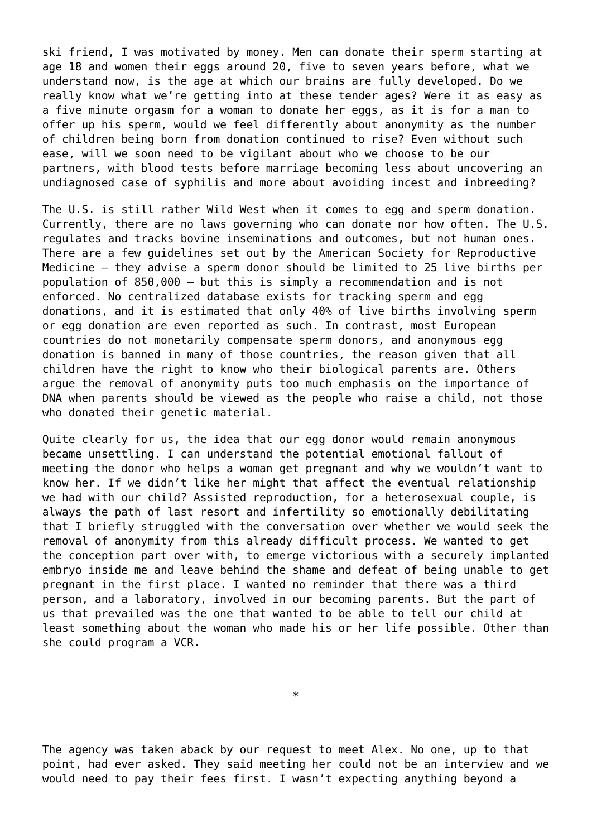ski friend, I was motivated by money. Men can donate their sperm starting at age 18 and women their eggs around 20, five to seven years before, what we understand now, is the age at which our brains are fully developed. Do we really know what we're getting into at these tender ages? Were it as easy as a five minute orgasm for a woman to donate her eggs, as it is for a man to offer up his sperm, would we feel differently about anonymity as the number of children being born from donation continued to rise? Even without such ease, will we soon need to be vigilant about who we choose to be our partners, with blood tests before marriage becoming less about uncovering an undiagnosed case of syphilis and more about avoiding incest and inbreeding?

The U.S. is still rather Wild West when it comes to egg and sperm donation. Currently, there are no laws governing who can donate nor how often. The U.S. regulates and tracks bovine inseminations and outcomes, but not human ones. There are a few guidelines set out by the American Society for Reproductive Medicine – they advise a sperm donor should be limited to 25 live births per population of 850,000 – but this is simply a recommendation and is not enforced. No centralized database exists for tracking sperm and egg donations, and it is estimated that only 40% of live births involving sperm or egg donation are even reported as such. In contrast, most European countries do not monetarily compensate sperm donors, and anonymous egg donation is banned in many of those countries, the reason given that all children have the right to know who their biological parents are. Others argue the removal of anonymity puts too much emphasis on the importance of DNA when parents should be viewed as the people who raise a child, not those who donated their genetic material.

Quite clearly for us, the idea that our egg donor would remain anonymous became unsettling. I can understand the potential emotional fallout of meeting the donor who helps a woman get pregnant and why we wouldn't want to know her. If we didn't like her might that affect the eventual relationship we had with our child? Assisted reproduction, for a heterosexual couple, is always the path of last resort and infertility so emotionally debilitating that I briefly struggled with the conversation over whether we would seek the removal of anonymity from this already difficult process. We wanted to get the conception part over with, to emerge victorious with a securely implanted embryo inside me and leave behind the shame and defeat of being unable to get pregnant in the first place. I wanted no reminder that there was a third person, and a laboratory, involved in our becoming parents. But the part of us that prevailed was the one that wanted to be able to tell our child at least something about the woman who made his or her life possible. Other than she could program a VCR.

The agency was taken aback by our request to meet Alex. No one, up to that point, had ever asked. They said meeting her could not be an interview and we would need to pay their fees first. I wasn't expecting anything beyond a

\*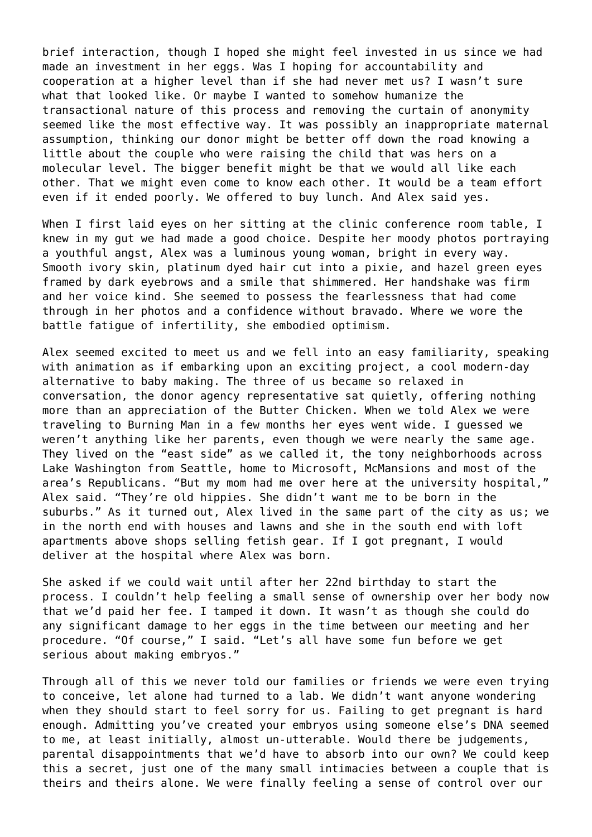brief interaction, though I hoped she might feel invested in us since we had made an investment in her eggs. Was I hoping for accountability and cooperation at a higher level than if she had never met us? I wasn't sure what that looked like. Or maybe I wanted to somehow humanize the transactional nature of this process and removing the curtain of anonymity seemed like the most effective way. It was possibly an inappropriate maternal assumption, thinking our donor might be better off down the road knowing a little about the couple who were raising the child that was hers on a molecular level. The bigger benefit might be that we would all like each other. That we might even come to know each other. It would be a team effort even if it ended poorly. We offered to buy lunch. And Alex said yes.

When I first laid eyes on her sitting at the clinic conference room table, I knew in my gut we had made a good choice. Despite her moody photos portraying a youthful angst, Alex was a luminous young woman, bright in every way. Smooth ivory skin, platinum dyed hair cut into a pixie, and hazel green eyes framed by dark eyebrows and a smile that shimmered. Her handshake was firm and her voice kind. She seemed to possess the fearlessness that had come through in her photos and a confidence without bravado. Where we wore the battle fatigue of infertility, she embodied optimism.

Alex seemed excited to meet us and we fell into an easy familiarity, speaking with animation as if embarking upon an exciting project, a cool modern-day alternative to baby making. The three of us became so relaxed in conversation, the donor agency representative sat quietly, offering nothing more than an appreciation of the Butter Chicken. When we told Alex we were traveling to Burning Man in a few months her eyes went wide. I guessed we weren't anything like her parents, even though we were nearly the same age. They lived on the "east side" as we called it, the tony neighborhoods across Lake Washington from Seattle, home to Microsoft, McMansions and most of the area's Republicans. "But my mom had me over here at the university hospital," Alex said. "They're old hippies. She didn't want me to be born in the suburbs." As it turned out, Alex lived in the same part of the city as us; we in the north end with houses and lawns and she in the south end with loft apartments above shops selling fetish gear. If I got pregnant, I would deliver at the hospital where Alex was born.

She asked if we could wait until after her 22nd birthday to start the process. I couldn't help feeling a small sense of ownership over her body now that we'd paid her fee. I tamped it down. It wasn't as though she could do any significant damage to her eggs in the time between our meeting and her procedure. "Of course," I said. "Let's all have some fun before we get serious about making embryos."

Through all of this we never told our families or friends we were even trying to conceive, let alone had turned to a lab. We didn't want anyone wondering when they should start to feel sorry for us. Failing to get pregnant is hard enough. Admitting you've created your embryos using someone else's DNA seemed to me, at least initially, almost un-utterable. Would there be judgements, parental disappointments that we'd have to absorb into our own? We could keep this a secret, just one of the many small intimacies between a couple that is theirs and theirs alone. We were finally feeling a sense of control over our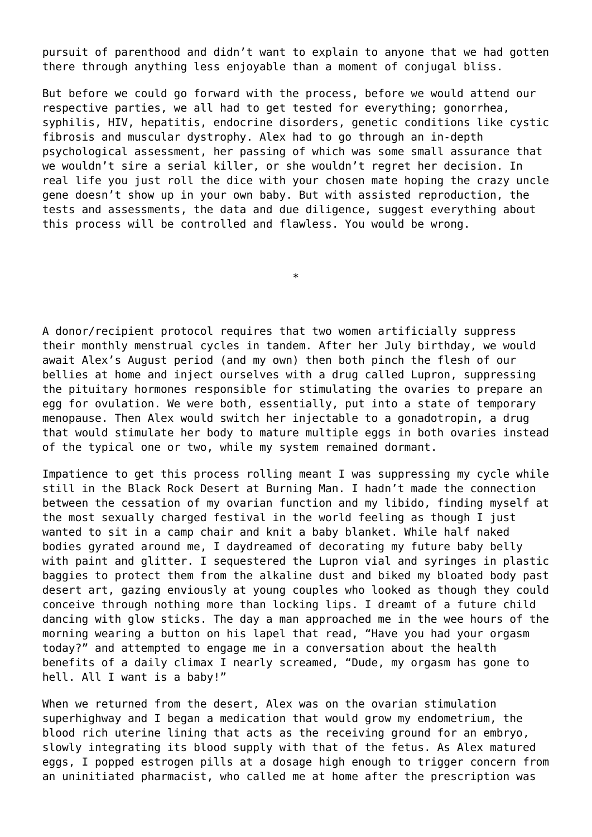pursuit of parenthood and didn't want to explain to anyone that we had gotten there through anything less enjoyable than a moment of conjugal bliss.

But before we could go forward with the process, before we would attend our respective parties, we all had to get tested for everything; gonorrhea, syphilis, HIV, hepatitis, endocrine disorders, genetic conditions like cystic fibrosis and muscular dystrophy. Alex had to go through an in-depth psychological assessment, her passing of which was some small assurance that we wouldn't sire a serial killer, or she wouldn't regret her decision. In real life you just roll the dice with your chosen mate hoping the crazy uncle gene doesn't show up in your own baby. But with assisted reproduction, the tests and assessments, the data and due diligence, suggest everything about this process will be controlled and flawless. You would be wrong.

A donor/recipient protocol requires that two women artificially suppress their monthly menstrual cycles in tandem. After her July birthday, we would await Alex's August period (and my own) then both pinch the flesh of our bellies at home and inject ourselves with a drug called Lupron, suppressing the pituitary hormones responsible for stimulating the ovaries to prepare an egg for ovulation. We were both, essentially, put into a state of temporary menopause. Then Alex would switch her injectable to a gonadotropin, a drug that would stimulate her body to mature multiple eggs in both ovaries instead of the typical one or two, while my system remained dormant.

\*

Impatience to get this process rolling meant I was suppressing my cycle while still in the Black Rock Desert at Burning Man. I hadn't made the connection between the cessation of my ovarian function and my libido, finding myself at the most sexually charged festival in the world feeling as though I just wanted to sit in a camp chair and knit a baby blanket. While half naked bodies gyrated around me, I daydreamed of decorating my future baby belly with paint and glitter. I sequestered the Lupron vial and syringes in plastic baggies to protect them from the alkaline dust and biked my bloated body past desert art, gazing enviously at young couples who looked as though they could conceive through nothing more than locking lips. I dreamt of a future child dancing with glow sticks. The day a man approached me in the wee hours of the morning wearing a button on his lapel that read, "Have you had your orgasm today?" and attempted to engage me in a conversation about the health benefits of a daily climax I nearly screamed, "Dude, my orgasm has gone to hell. All I want is a baby!"

When we returned from the desert, Alex was on the ovarian stimulation superhighway and I began a medication that would grow my endometrium, the blood rich uterine lining that acts as the receiving ground for an embryo, slowly integrating its blood supply with that of the fetus. As Alex matured eggs, I popped estrogen pills at a dosage high enough to trigger concern from an uninitiated pharmacist, who called me at home after the prescription was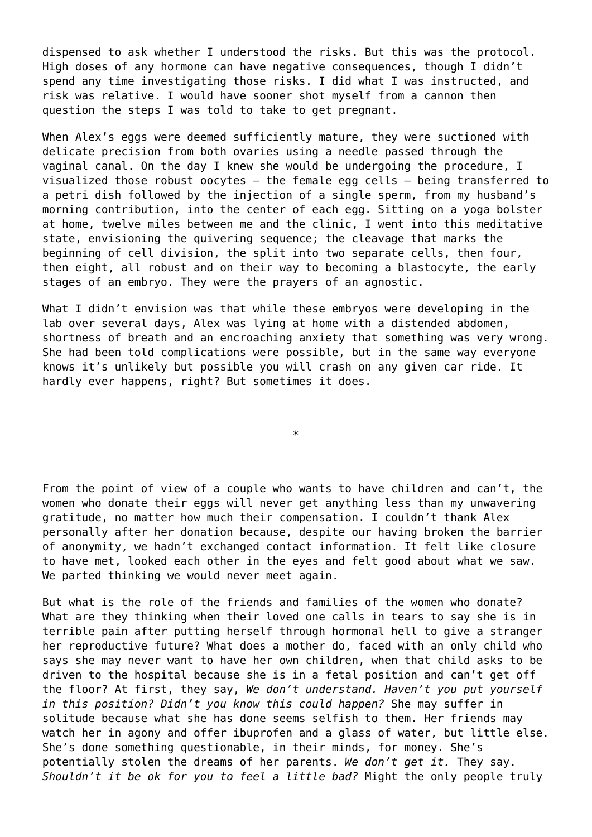dispensed to ask whether I understood the risks. But this was the protocol. High doses of any hormone can have negative consequences, though I didn't spend any time investigating those risks. I did what I was instructed, and risk was relative. I would have sooner shot myself from a cannon then question the steps I was told to take to get pregnant.

When Alex's eggs were deemed sufficiently mature, they were suctioned with delicate precision from both ovaries using a needle passed through the vaginal canal. On the day I knew she would be undergoing the procedure, I visualized those robust oocytes – the female egg cells – being transferred to a petri dish followed by the injection of a single sperm, from my husband's morning contribution, into the center of each egg. Sitting on a yoga bolster at home, twelve miles between me and the clinic, I went into this meditative state, envisioning the quivering sequence; the cleavage that marks the beginning of cell division, the split into two separate cells, then four, then eight, all robust and on their way to becoming a blastocyte, the early stages of an embryo. They were the prayers of an agnostic.

What I didn't envision was that while these embryos were developing in the lab over several days, Alex was lying at home with a distended abdomen, shortness of breath and an encroaching anxiety that something was very wrong. She had been told complications were possible, but in the same way everyone knows it's unlikely but possible you will crash on any given car ride. It hardly ever happens, right? But sometimes it does.

\*

From the point of view of a couple who wants to have children and can't, the women who donate their eggs will never get anything less than my unwavering gratitude, no matter how much their compensation. I couldn't thank Alex personally after her donation because, despite our having broken the barrier of anonymity, we hadn't exchanged contact information. It felt like closure to have met, looked each other in the eyes and felt good about what we saw. We parted thinking we would never meet again.

But what is the role of the friends and families of the women who donate? What are they thinking when their loved one calls in tears to sav she is in terrible pain after putting herself through hormonal hell to give a stranger her reproductive future? What does a mother do, faced with an only child who says she may never want to have her own children, when that child asks to be driven to the hospital because she is in a fetal position and can't get off the floor? At first, they say, *We don't understand. Haven't you put yourself in this position? Didn't you know this could happen?* She may suffer in solitude because what she has done seems selfish to them. Her friends may watch her in agony and offer ibuprofen and a glass of water, but little else. She's done something questionable, in their minds, for money. She's potentially stolen the dreams of her parents. *We don't get it.* They say. *Shouldn't it be ok for you to feel a little bad?* Might the only people truly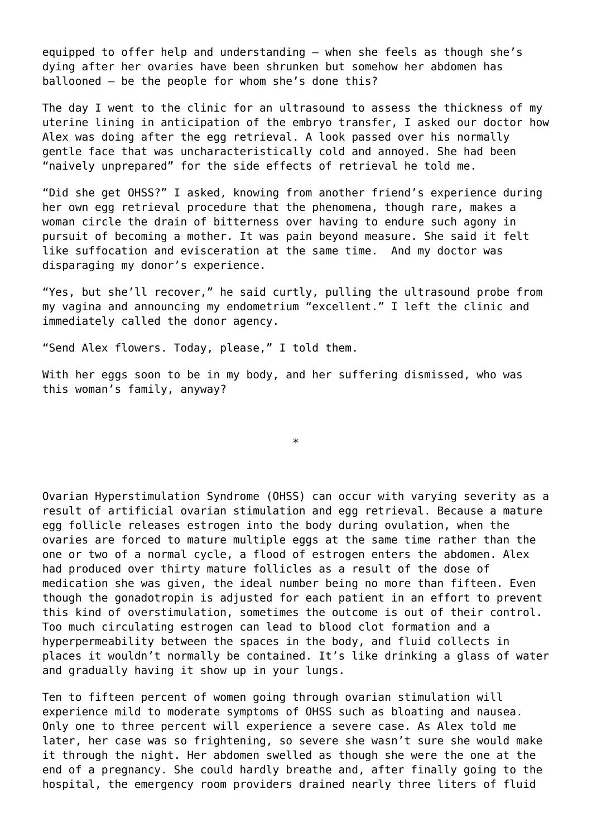equipped to offer help and understanding – when she feels as though she's dying after her ovaries have been shrunken but somehow her abdomen has ballooned – be the people for whom she's done this?

The day I went to the clinic for an ultrasound to assess the thickness of my uterine lining in anticipation of the embryo transfer, I asked our doctor how Alex was doing after the egg retrieval. A look passed over his normally gentle face that was uncharacteristically cold and annoyed. She had been "naively unprepared" for the side effects of retrieval he told me.

"Did she get OHSS?" I asked, knowing from another friend's experience during her own egg retrieval procedure that the phenomena, though rare, makes a woman circle the drain of bitterness over having to endure such agony in pursuit of becoming a mother. It was pain beyond measure. She said it felt like suffocation and evisceration at the same time. And my doctor was disparaging my donor's experience.

"Yes, but she'll recover," he said curtly, pulling the ultrasound probe from my vagina and announcing my endometrium "excellent." I left the clinic and immediately called the donor agency.

"Send Alex flowers. Today, please," I told them.

With her eggs soon to be in my body, and her suffering dismissed, who was this woman's family, anyway?

\*

Ovarian Hyperstimulation Syndrome (OHSS) can occur with varying severity as a result of artificial ovarian stimulation and egg retrieval. Because a mature egg follicle releases estrogen into the body during ovulation, when the ovaries are forced to mature multiple eggs at the same time rather than the one or two of a normal cycle, a flood of estrogen enters the abdomen. Alex had produced over thirty mature follicles as a result of the dose of medication she was given, the ideal number being no more than fifteen. Even though the gonadotropin is adjusted for each patient in an effort to prevent this kind of overstimulation, sometimes the outcome is out of their control. Too much circulating estrogen can lead to blood clot formation and a hyperpermeability between the spaces in the body, and fluid collects in places it wouldn't normally be contained. It's like drinking a glass of water and gradually having it show up in your lungs.

Ten to fifteen percent of women going through ovarian stimulation will experience mild to moderate symptoms of OHSS such as bloating and nausea. Only one to three percent will experience a severe case. As Alex told me later, her case was so frightening, so severe she wasn't sure she would make it through the night. Her abdomen swelled as though she were the one at the end of a pregnancy. She could hardly breathe and, after finally going to the hospital, the emergency room providers drained nearly three liters of fluid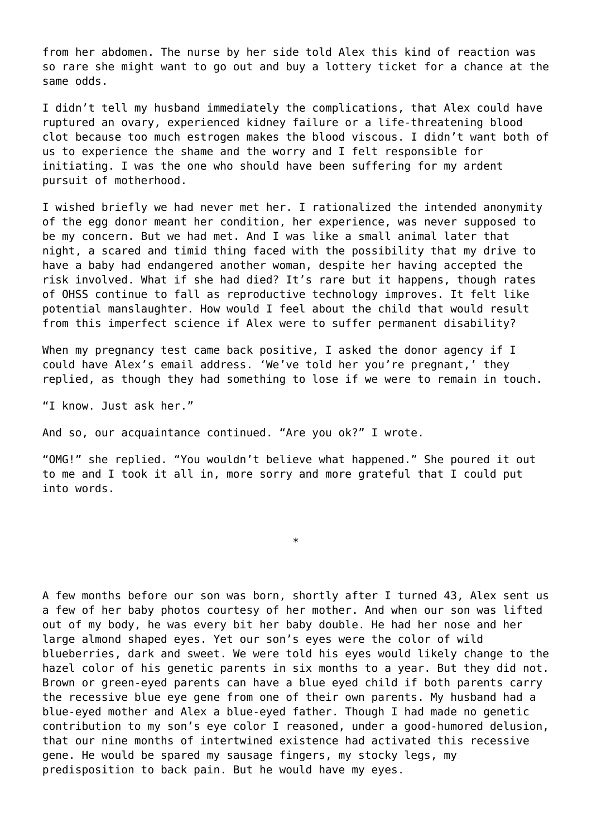from her abdomen. The nurse by her side told Alex this kind of reaction was so rare she might want to go out and buy a lottery ticket for a chance at the same odds.

I didn't tell my husband immediately the complications, that Alex could have ruptured an ovary, experienced kidney failure or a life-threatening blood clot because too much estrogen makes the blood viscous. I didn't want both of us to experience the shame and the worry and I felt responsible for initiating. I was the one who should have been suffering for my ardent pursuit of motherhood.

I wished briefly we had never met her. I rationalized the intended anonymity of the egg donor meant her condition, her experience, was never supposed to be my concern. But we had met. And I was like a small animal later that night, a scared and timid thing faced with the possibility that my drive to have a baby had endangered another woman, despite her having accepted the risk involved. What if she had died? It's rare but it happens, though rates of OHSS continue to fall as reproductive technology improves. It felt like potential manslaughter. How would I feel about the child that would result from this imperfect science if Alex were to suffer permanent disability?

When my pregnancy test came back positive, I asked the donor agency if I could have Alex's email address. 'We've told her you're pregnant,' they replied, as though they had something to lose if we were to remain in touch.

"I know. Just ask her."

And so, our acquaintance continued. "Are you ok?" I wrote.

"OMG!" she replied. "You wouldn't believe what happened." She poured it out to me and I took it all in, more sorry and more grateful that I could put into words.

\*

A few months before our son was born, shortly after I turned 43, Alex sent us a few of her baby photos courtesy of her mother. And when our son was lifted out of my body, he was every bit her baby double. He had her nose and her large almond shaped eyes. Yet our son's eyes were the color of wild blueberries, dark and sweet. We were told his eyes would likely change to the hazel color of his genetic parents in six months to a year. But they did not. Brown or green-eyed parents can have a blue eyed child if both parents carry the recessive blue eye gene from one of their own parents. My husband had a blue-eyed mother and Alex a blue-eyed father. Though I had made no genetic contribution to my son's eye color I reasoned, under a good-humored delusion, that our nine months of intertwined existence had activated this recessive gene. He would be spared my sausage fingers, my stocky legs, my predisposition to back pain. But he would have my eyes.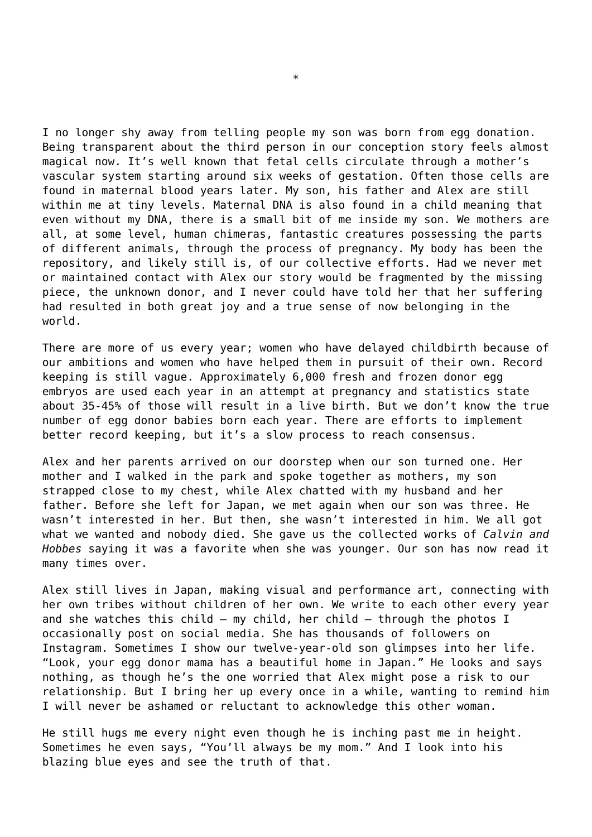I no longer shy away from telling people my son was born from egg donation. Being transparent about the third person in our conception story feels almost magical now. It's well known that fetal cells circulate through a mother's vascular system starting around six weeks of gestation. Often those cells are found in maternal blood years later. My son, his father and Alex are still within me at tiny levels. Maternal DNA is also found in a child meaning that even without my DNA, there is a small bit of me inside my son. We mothers are all, at some level, human chimeras, fantastic creatures possessing the parts of different animals, through the process of pregnancy. My body has been the repository, and likely still is, of our collective efforts. Had we never met or maintained contact with Alex our story would be fragmented by the missing piece, the unknown donor, and I never could have told her that her suffering had resulted in both great joy and a true sense of now belonging in the world.

There are more of us every year; women who have delayed childbirth because of our ambitions and women who have helped them in pursuit of their own. Record keeping is still vague. Approximately 6,000 fresh and frozen donor egg embryos are used each year in an attempt at pregnancy and statistics state about 35-45% of those will result in a live birth. But we don't know the true number of egg donor babies born each year. There are efforts to implement better record keeping, but it's a slow process to reach consensus.

Alex and her parents arrived on our doorstep when our son turned one. Her mother and I walked in the park and spoke together as mothers, my son strapped close to my chest, while Alex chatted with my husband and her father. Before she left for Japan, we met again when our son was three. He wasn't interested in her. But then, she wasn't interested in him. We all got what we wanted and nobody died. She gave us the collected works of *Calvin and Hobbes* saying it was a favorite when she was younger. Our son has now read it many times over.

Alex still lives in Japan, making visual and performance art, connecting with her own tribes without children of her own. We write to each other every year and she watches this child – my child, her child – through the photos I occasionally post on social media. She has thousands of followers on Instagram. Sometimes I show our twelve-year-old son glimpses into her life. "Look, your egg donor mama has a beautiful home in Japan." He looks and says nothing, as though he's the one worried that Alex might pose a risk to our relationship. But I bring her up every once in a while, wanting to remind him I will never be ashamed or reluctant to acknowledge this other woman.

He still hugs me every night even though he is inching past me in height. Sometimes he even says, "You'll always be my mom." And I look into his blazing blue eyes and see the truth of that.